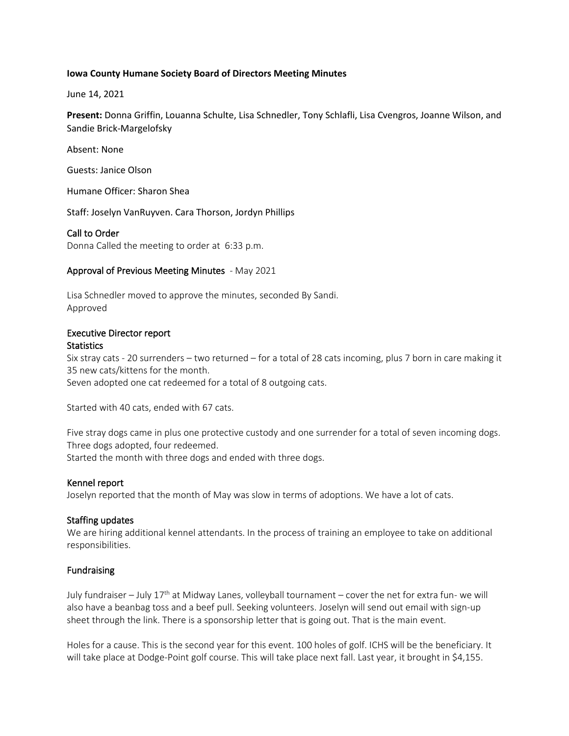#### **Iowa County Humane Society Board of Directors Meeting Minutes**

June 14, 2021

**Present:** Donna Griffin, Louanna Schulte, Lisa Schnedler, Tony Schlafli, Lisa Cvengros, Joanne Wilson, and Sandie Brick-Margelofsky

Absent: None

Guests: Janice Olson

Humane Officer: Sharon Shea

Staff: Joselyn VanRuyven. Cara Thorson, Jordyn Phillips

#### Call to Order

Donna Called the meeting to order at 6:33 p.m.

#### Approval of Previous Meeting Minutes - May 2021

Lisa Schnedler moved to approve the minutes, seconded By Sandi. Approved

#### Executive Director report **Statistics**

Six stray cats - 20 surrenders – two returned – for a total of 28 cats incoming, plus 7 born in care making it 35 new cats/kittens for the month.

Seven adopted one cat redeemed for a total of 8 outgoing cats.

Started with 40 cats, ended with 67 cats.

Five stray dogs came in plus one protective custody and one surrender for a total of seven incoming dogs. Three dogs adopted, four redeemed. Started the month with three dogs and ended with three dogs.

Kennel report

Joselyn reported that the month of May was slow in terms of adoptions. We have a lot of cats.

## Staffing updates

We are hiring additional kennel attendants. In the process of training an employee to take on additional responsibilities.

## Fundraising

July fundraiser – July  $17<sup>th</sup>$  at Midway Lanes, volleyball tournament – cover the net for extra fun- we will also have a beanbag toss and a beef pull. Seeking volunteers. Joselyn will send out email with sign-up sheet through the link. There is a sponsorship letter that is going out. That is the main event.

Holes for a cause. This is the second year for this event. 100 holes of golf. ICHS will be the beneficiary. It will take place at Dodge-Point golf course. This will take place next fall. Last year, it brought in \$4,155.